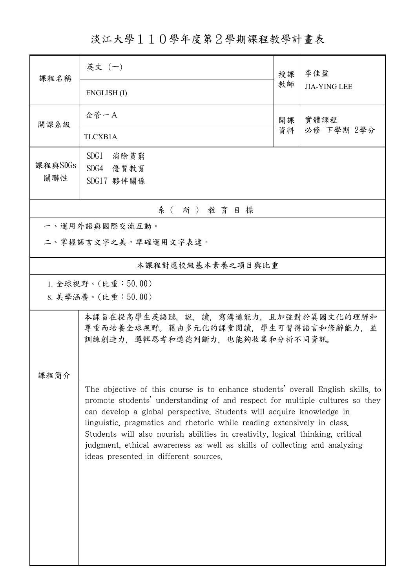淡江大學110學年度第2學期課程教學計畫表

| 課程名稱                                                                                                         | 英文 (一)                                                                                                                                                                                                                                                                                                                                                                                                                                                                                                                     | 授課 | 李佳盈                 |  |  |  |  |
|--------------------------------------------------------------------------------------------------------------|----------------------------------------------------------------------------------------------------------------------------------------------------------------------------------------------------------------------------------------------------------------------------------------------------------------------------------------------------------------------------------------------------------------------------------------------------------------------------------------------------------------------------|----|---------------------|--|--|--|--|
|                                                                                                              | ENGLISH(I)                                                                                                                                                                                                                                                                                                                                                                                                                                                                                                                 | 教師 | <b>JIA-YING LEE</b> |  |  |  |  |
| 開課系級                                                                                                         | 企管一A                                                                                                                                                                                                                                                                                                                                                                                                                                                                                                                       | 開課 | 實體課程<br>必修 下學期 2學分  |  |  |  |  |
|                                                                                                              | TLCXB1A                                                                                                                                                                                                                                                                                                                                                                                                                                                                                                                    | 資料 |                     |  |  |  |  |
| 課程與SDGs                                                                                                      | SDG1 消除貧窮                                                                                                                                                                                                                                                                                                                                                                                                                                                                                                                  |    |                     |  |  |  |  |
| 關聯性                                                                                                          | SDG4 優質教育<br>SDG17 夥伴關係                                                                                                                                                                                                                                                                                                                                                                                                                                                                                                    |    |                     |  |  |  |  |
|                                                                                                              |                                                                                                                                                                                                                                                                                                                                                                                                                                                                                                                            |    |                     |  |  |  |  |
| 系(所)教育目標                                                                                                     |                                                                                                                                                                                                                                                                                                                                                                                                                                                                                                                            |    |                     |  |  |  |  |
|                                                                                                              | 一、運用外語與國際交流互動。                                                                                                                                                                                                                                                                                                                                                                                                                                                                                                             |    |                     |  |  |  |  |
|                                                                                                              | 二、掌握語言文字之美,準確運用文字表達。                                                                                                                                                                                                                                                                                                                                                                                                                                                                                                       |    |                     |  |  |  |  |
|                                                                                                              | 本課程對應校級基本素養之項目與比重                                                                                                                                                                                                                                                                                                                                                                                                                                                                                                          |    |                     |  |  |  |  |
|                                                                                                              | 1. 全球視野。(比重: $50.00$ )                                                                                                                                                                                                                                                                                                                                                                                                                                                                                                     |    |                     |  |  |  |  |
|                                                                                                              | 8. 美學涵養。(比重:50.00)                                                                                                                                                                                                                                                                                                                                                                                                                                                                                                         |    |                     |  |  |  |  |
| 本課旨在提高學生英語聽,說,讀,寫溝通能力,且加強對於異國文化的理解和<br>尊重而培養全球視野。藉由多元化的課堂閱讀,學生可習得語言和修辭能力,並<br>訓練創造力,邏輯思考和道德判斷力,也能夠收集和分析不同資訊。 |                                                                                                                                                                                                                                                                                                                                                                                                                                                                                                                            |    |                     |  |  |  |  |
| 课程简介                                                                                                         |                                                                                                                                                                                                                                                                                                                                                                                                                                                                                                                            |    |                     |  |  |  |  |
|                                                                                                              | The objective of this course is to enhance students' overall English skills, to<br>promote students' understanding of and respect for multiple cultures so they<br>can develop a global perspective. Students will acquire knowledge in<br>linguistic, pragmatics and rhetoric while reading extensively in class.<br>Students will also nourish abilities in creativity, logical thinking, critical<br>judgment, ethical awareness as well as skills of collecting and analyzing<br>ideas presented in different sources. |    |                     |  |  |  |  |
|                                                                                                              |                                                                                                                                                                                                                                                                                                                                                                                                                                                                                                                            |    |                     |  |  |  |  |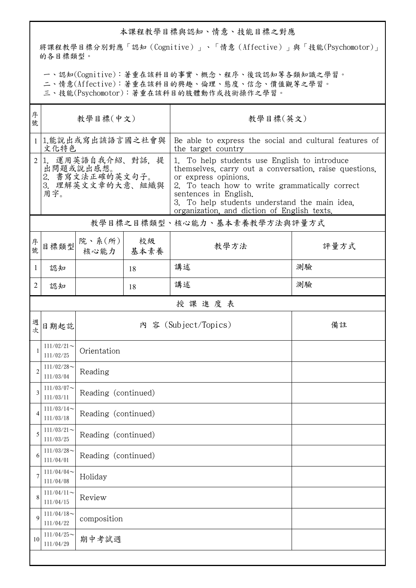## 本課程教學目標與認知、情意、技能目標之對應

將課程教學目標分別對應「認知(Cognitive)」、「情意(Affective)」與「技能(Psychomotor)」 的各目標類型。

一、認知(Cognitive):著重在該科目的事實、概念、程序、後設認知等各類知識之學習。

二、情意(Affective):著重在該科目的興趣、倫理、態度、信念、價值觀等之學習。

三、技能(Psychomotor):著重在該科目的肢體動作或技術操作之學習。

| 序<br>號         | 教學目標(中文)                                                                       |                          |            | 教學目標(英文)                                                                                                                                                                                                                                                                                                  |      |  |  |  |
|----------------|--------------------------------------------------------------------------------|--------------------------|------------|-----------------------------------------------------------------------------------------------------------------------------------------------------------------------------------------------------------------------------------------------------------------------------------------------------------|------|--|--|--|
|                | 1.能說出或寫出該語言國之社會與<br>文化特色                                                       |                          |            | Be able to express the social and cultural features of<br>the target country                                                                                                                                                                                                                              |      |  |  |  |
| $\overline{2}$ | 運用英語自我介紹、對話、提<br>1.<br>出問題或說出感想。<br>2. 書寫文法正確的英文句子。<br>3. 理解英文文章的大意、組織與<br>用字。 |                          |            | 1. To help students use English to introduce<br>themselves, carry out a conversation, raise questions,<br>or express opinions.<br>2. To teach how to write grammatically correct<br>sentences in English.<br>3. To help students understand the main idea.<br>organization, and diction of English texts. |      |  |  |  |
|                |                                                                                |                          |            | 教學目標之目標類型、核心能力、基本素養教學方法與評量方式                                                                                                                                                                                                                                                                              |      |  |  |  |
| 序號             | 目標類型                                                                           | 院、系 $(\kappa)$  <br>核心能力 | 校級<br>基本素養 | 教學方法                                                                                                                                                                                                                                                                                                      | 評量方式 |  |  |  |
| 1              | 認知                                                                             |                          | 18         | 講述                                                                                                                                                                                                                                                                                                        | 測驗   |  |  |  |
| 2              | 認知                                                                             |                          | 18         | 講述                                                                                                                                                                                                                                                                                                        | 測驗   |  |  |  |
| 授課進度表          |                                                                                |                          |            |                                                                                                                                                                                                                                                                                                           |      |  |  |  |
| 週次             | 日期起訖                                                                           |                          |            | 內 容 (Subject/Topics)                                                                                                                                                                                                                                                                                      | 備註   |  |  |  |
| $\mathbf{1}$   | $111/02/21$ ~<br>111/02/25                                                     | Orientation              |            |                                                                                                                                                                                                                                                                                                           |      |  |  |  |
| $\overline{2}$ | $111/02/28$ ~<br>111/03/04                                                     | Reading                  |            |                                                                                                                                                                                                                                                                                                           |      |  |  |  |
| 3              | $111/03/07$ ~<br>111/03/11                                                     | Reading (continued)      |            |                                                                                                                                                                                                                                                                                                           |      |  |  |  |
| 4              | $111/03/14$ ~<br>111/03/18                                                     | Reading (continued)      |            |                                                                                                                                                                                                                                                                                                           |      |  |  |  |
| 5              | $111/03/21$ ~<br>111/03/25                                                     | Reading (continued)      |            |                                                                                                                                                                                                                                                                                                           |      |  |  |  |
| 6              | $111/03/28$ ~<br>111/04/01                                                     | Reading (continued)      |            |                                                                                                                                                                                                                                                                                                           |      |  |  |  |
| 7              | $111/04/04$ ~<br>111/04/08                                                     | Holiday                  |            |                                                                                                                                                                                                                                                                                                           |      |  |  |  |
| 8              | $111/04/11$ ~<br>111/04/15                                                     | Review                   |            |                                                                                                                                                                                                                                                                                                           |      |  |  |  |
| 9              | $111/04/18$ ~<br>111/04/22                                                     | composition              |            |                                                                                                                                                                                                                                                                                                           |      |  |  |  |
| 10             | $111/04/25$ ~<br>111/04/29                                                     | 期中考試週                    |            |                                                                                                                                                                                                                                                                                                           |      |  |  |  |
|                |                                                                                |                          |            |                                                                                                                                                                                                                                                                                                           |      |  |  |  |